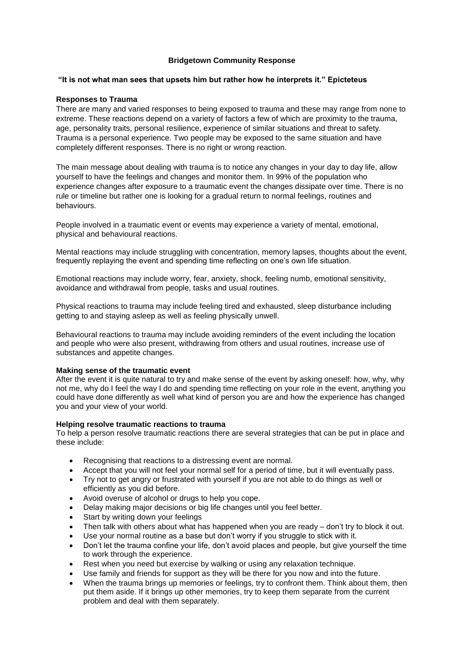# **Bridgetown Community Response**

### **"It is not what man sees that upsets him but rather how he interprets it." Epicteteus**

### **Responses to Trauma**

There are many and varied responses to being exposed to trauma and these may range from none to extreme. These reactions depend on a variety of factors a few of which are proximity to the trauma, age, personality traits, personal resilience, experience of similar situations and threat to safety. Trauma is a personal experience. Two people may be exposed to the same situation and have completely different responses. There is no right or wrong reaction.

The main message about dealing with trauma is to notice any changes in your day to day life, allow yourself to have the feelings and changes and monitor them. In 99% of the population who experience changes after exposure to a traumatic event the changes dissipate over time. There is no rule or timeline but rather one is looking for a gradual return to normal feelings, routines and behaviours.

People involved in a traumatic event or events may experience a variety of mental, emotional, physical and behavioural reactions.

Mental reactions may include struggling with concentration, memory lapses, thoughts about the event, frequently replaying the event and spending time reflecting on one's own life situation.

Emotional reactions may include worry, fear, anxiety, shock, feeling numb, emotional sensitivity, avoidance and withdrawal from people, tasks and usual routines.

Physical reactions to trauma may include feeling tired and exhausted, sleep disturbance including getting to and staying asleep as well as feeling physically unwell.

Behavioural reactions to trauma may include avoiding reminders of the event including the location and people who were also present, withdrawing from others and usual routines, increase use of substances and appetite changes.

### **Making sense of the traumatic event**

After the event it is quite natural to try and make sense of the event by asking oneself: how, why, why not me, why do I feel the way I do and spending time reflecting on your role in the event, anything you could have done differently as well what kind of person you are and how the experience has changed you and your view of your world.

### **Helping resolve traumatic reactions to trauma**

To help a person resolve traumatic reactions there are several strategies that can be put in place and these include:

- Recognising that reactions to a distressing event are normal.
- Accept that you will not feel your normal self for a period of time, but it will eventually pass.
- Try not to get angry or frustrated with yourself if you are not able to do things as well or efficiently as you did before.
- Avoid overuse of alcohol or drugs to help you cope.
- Delay making major decisions or big life changes until you feel better.
- Start by writing down your feelings
- Then talk with others about what has happened when you are ready don't try to block it out.
- Use your normal routine as a base but don't worry if you struggle to stick with it.
- Don't let the trauma confine your life, don't avoid places and people, but give yourself the time to work through the experience.
- Rest when you need but exercise by walking or using any relaxation technique.
- Use family and friends for support as they will be there for you now and into the future.
- When the trauma brings up memories or feelings, try to confront them. Think about them, then put them aside. If it brings up other memories, try to keep them separate from the current problem and deal with them separately.